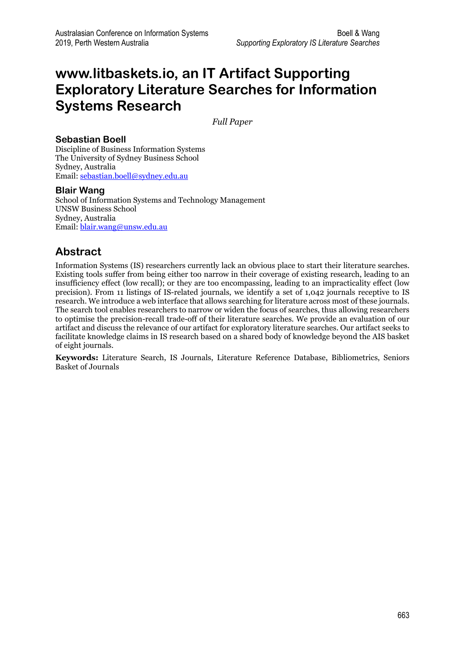# **www.litbaskets.io, an IT Artifact Supporting Exploratory Literature Searches for Information Systems Research**

*Full Paper*

## **Sebastian Boell**

Discipline of Business Information Systems The University of Sydney Business School Sydney, Australia Email[: sebastian.boell@sydney.edu.au](mailto:sebastian.boell@sydney.edu.au)

## **Blair Wang**

School of Information Systems and Technology Management UNSW Business School Sydney, Australia Email[: blair.wang@unsw.edu.au](mailto:blair.wang@unsw.edu.au)

## **Abstract**

Information Systems (IS) researchers currently lack an obvious place to start their literature searches. Existing tools suffer from being either too narrow in their coverage of existing research, leading to an insufficiency effect (low recall); or they are too encompassing, leading to an impracticality effect (low precision). From 11 listings of IS-related journals, we identify a set of 1,042 journals receptive to IS research. We introduce a web interface that allows searching for literature across most of these journals. The search tool enables researchers to narrow or widen the focus of searches, thus allowing researchers to optimise the precision-recall trade-off of their literature searches. We provide an evaluation of our artifact and discuss the relevance of our artifact for exploratory literature searches. Our artifact seeks to facilitate knowledge claims in IS research based on a shared body of knowledge beyond the AIS basket of eight journals.

**Keywords:** Literature Search, IS Journals, Literature Reference Database, Bibliometrics, Seniors Basket of Journals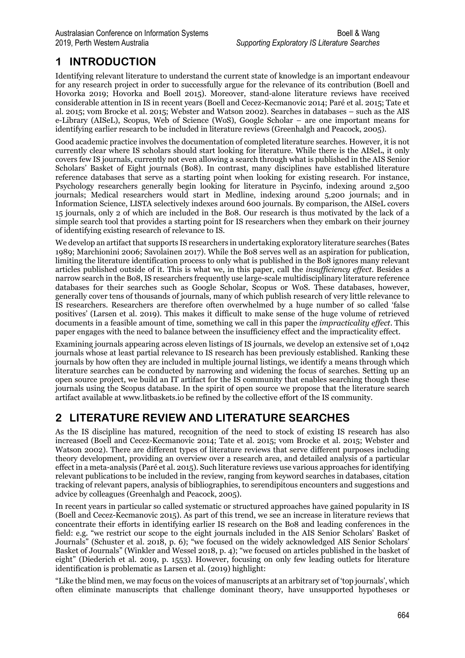# **1 INTRODUCTION**

Identifying relevant literature to understand the current state of knowledge is an important endeavour for any research project in order to successfully argue for the relevance of its contribution (Boell and Hovorka 2019; Hovorka and Boell 2015). Moreover, stand-alone literature reviews have received considerable attention in IS in recent years (Boell and Cecez-Kecmanovic 2014; Paré et al. 2015; Tate et al. 2015; vom Brocke et al. 2015; Webster and Watson 2002). Searches in databases – such as the AIS e-Library (AISeL), Scopus, Web of Science (WoS), Google Scholar – are one important means for identifying earlier research to be included in literature reviews (Greenhalgh and Peacock, 2005).

Good academic practice involves the documentation of completed literature searches. However, it is not currently clear where IS scholars should start looking for literature. While there is the AISeL, it only covers few IS journals, currently not even allowing a search through what is published in the AIS Senior Scholars' Basket of Eight journals (Bo8). In contrast, many disciplines have established literature reference databases that serve as a starting point when looking for existing research. For instance, Psychology researchers generally begin looking for literature in Psycinfo, indexing around 2,500 journals; Medical researchers would start in Medline, indexing around 5,200 journals; and in Information Science, LISTA selectively indexes around 600 journals. By comparison, the AISeL covers 15 journals, only 2 of which are included in the Bo8. Our research is thus motivated by the lack of a simple search tool that provides a starting point for IS researchers when they embark on their journey of identifying existing research of relevance to IS.

We develop an artifact that supports IS researchers in undertaking exploratory literature searches (Bates 1989; Marchionini 2006; Savolainen 2017). While the Bo8 serves well as an aspiration for publication, limiting the literature identification process to only what is published in the Bo8 ignores many relevant articles published outside of it. This is what we, in this paper, call the *insufficiency effect*. Besides a narrow search in the Bo8, IS researchers frequently use large-scale multidisciplinary literature reference databases for their searches such as Google Scholar, Scopus or WoS. These databases, however, generally cover tens of thousands of journals, many of which publish research of very little relevance to IS researchers. Researchers are therefore often overwhelmed by a huge number of so called 'false positives' (Larsen et al. 2019). This makes it difficult to make sense of the huge volume of retrieved documents in a feasible amount of time, something we call in this paper the *impracticality effect*. This paper engages with the need to balance between the insufficiency effect and the impracticality effect.

Examining journals appearing across eleven listings of IS journals, we develop an extensive set of 1,042 journals whose at least partial relevance to IS research has been previously established. Ranking these journals by how often they are included in multiple journal listings, we identify a means through which literature searches can be conducted by narrowing and widening the focus of searches. Setting up an open source project, we build an IT artifact for the IS community that enables searching though these journals using the Scopus database. In the spirit of open source we propose that the literature search artifact available at www.litbaskets.io be refined by the collective effort of the IS community.

## **2 LITERATURE REVIEW AND LITERATURE SEARCHES**

As the IS discipline has matured, recognition of the need to stock of existing IS research has also increased (Boell and Cecez-Kecmanovic 2014; Tate et al. 2015; vom Brocke et al. 2015; Webster and Watson 2002). There are different types of literature reviews that serve different purposes including theory development, providing an overview over a research area, and detailed analysis of a particular effect in a meta-analysis (Paré et al. 2015). Such literature reviews use various approaches for identifying relevant publications to be included in the review, ranging from keyword searches in databases, citation tracking of relevant papers, analysis of bibliographies, to serendipitous encounters and suggestions and advice by colleagues (Greenhalgh and Peacock, 2005).

In recent years in particular so called systematic or structured approaches have gained popularity in IS (Boell and Cecez-Kecmanovic 2015). As part of this trend, we see an increase in literature reviews that concentrate their efforts in identifying earlier IS research on the Bo8 and leading conferences in the field: e.g. "we restrict our scope to the eight journals included in the AIS Senior Scholars' Basket of Journals" (Schuster et al. 2018, p. 6); "we focused on the widely acknowledged AIS Senior Scholars' Basket of Journals" (Winkler and Wessel 2018, p. 4); "we focused on articles published in the basket of eight" (Diederich et al. 2019, p. 1553). However, focusing on only few leading outlets for literature identification is problematic as Larsen et al. (2019) highlight:

"Like the blind men, we may focus on the voices of manuscripts at an arbitrary set of 'top journals', which often eliminate manuscripts that challenge dominant theory, have unsupported hypotheses or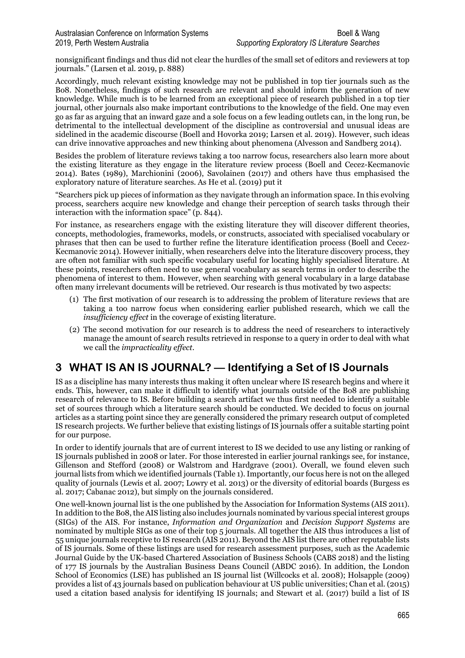nonsignificant findings and thus did not clear the hurdles of the small set of editors and reviewers at top journals." (Larsen et al. 2019, p. 888)

Accordingly, much relevant existing knowledge may not be published in top tier journals such as the Bo8. Nonetheless, findings of such research are relevant and should inform the generation of new knowledge. While much is to be learned from an exceptional piece of research published in a top tier journal, other journals also make important contributions to the knowledge of the field. One may even go as far as arguing that an inward gaze and a sole focus on a few leading outlets can, in the long run, be detrimental to the intellectual development of the discipline as controversial and unusual ideas are sidelined in the academic discourse (Boell and Hovorka 2019; Larsen et al. 2019). However, such ideas can drive innovative approaches and new thinking about phenomena (Alvesson and Sandberg 2014).

Besides the problem of literature reviews taking a too narrow focus, researchers also learn more about the existing literature as they engage in the literature review process (Boell and Cecez-Kecmanovic 2014). Bates (1989), Marchionini (2006), Savolainen (2017) and others have thus emphasised the exploratory nature of literature searches. As He et al. (2019) put it

"Searchers pick up pieces of information as they navigate through an information space. In this evolving process, searchers acquire new knowledge and change their perception of search tasks through their interaction with the information space" (p. 844).

For instance, as researchers engage with the existing literature they will discover different theories, concepts, methodologies, frameworks, models, or constructs, associated with specialised vocabulary or phrases that then can be used to further refine the literature identification process (Boell and Cecez-Kecmanovic 2014). However initially, when researchers delve into the literature discovery process, they are often not familiar with such specific vocabulary useful for locating highly specialised literature. At these points, researchers often need to use general vocabulary as search terms in order to describe the phenomena of interest to them. However, when searching with general vocabulary in a large database often many irrelevant documents will be retrieved. Our research is thus motivated by two aspects:

- (1) The first motivation of our research is to addressing the problem of literature reviews that are taking a too narrow focus when considering earlier published research, which we call the *insufficiency effect* in the coverage of existing literature.
- (2) The second motivation for our research is to address the need of researchers to interactively manage the amount of search results retrieved in response to a query in order to deal with what we call the *impracticality effect*.

## **3 WHAT IS AN IS JOURNAL? — Identifying a Set of IS Journals**

IS as a discipline has many interests thus making it often unclear where IS research begins and where it ends. This, however, can make it difficult to identify what journals outside of the Bo8 are publishing research of relevance to IS. Before building a search artifact we thus first needed to identify a suitable set of sources through which a literature search should be conducted. We decided to focus on journal articles as a starting point since they are generally considered the primary research output of completed IS research projects. We further believe that existing listings of IS journals offer a suitable starting point for our purpose.

In order to identify journals that are of current interest to IS we decided to use any listing or ranking of IS journals published in 2008 or later. For those interested in earlier journal rankings see, for instance, Gillenson and Stefford (2008) or Walstrom and Hardgrave (2001). Overall, we found eleven such journal lists from which we identified journals (Table 1). Importantly, our focus here is not on the alleged quality of journals (Lewis et al. 2007; Lowry et al. 2013) or the diversity of editorial boards (Burgess es al. 2017; Cabanac 2012), but simply on the journals considered.

One well-known journal list is the one published by the Association for Information Systems (AIS 2011). In addition to the Bo8, the AIS listing also includes journals nominated by various special interest groups (SIGs) of the AIS. For instance, *Information and Organization* and *Decision Support Systems* are nominated by multiple SIGs as one of their top 5 journals. All together the AIS thus introduces a list of 55 unique journals receptive to IS research (AIS 2011). Beyond the AIS list there are other reputable lists of IS journals. Some of these listings are used for research assessment purposes, such as the Academic Journal Guide by the UK-based Chartered Association of Business Schools (CABS 2018) and the listing of 177 IS journals by the Australian Business Deans Council (ABDC 2016). In addition, the London School of Economics (LSE) has published an IS journal list (Willcocks et al. 2008); Holsapple (2009) provides a list of 43 journals based on publication behaviour at US public universities; Chan et al. (2015) used a citation based analysis for identifying IS journals; and Stewart et al. (2017) build a list of IS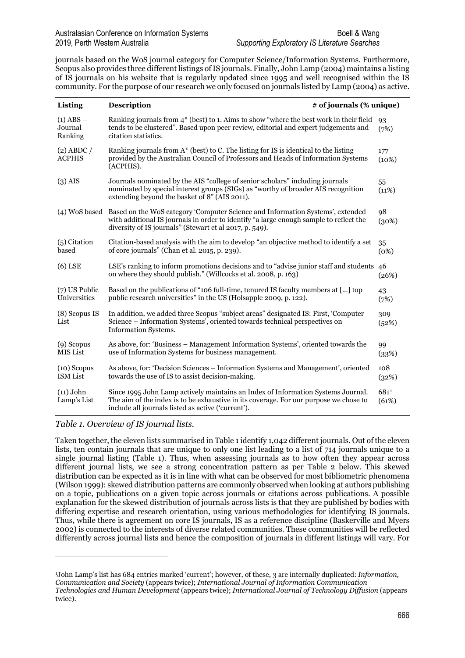journals based on the WoS journal category for Computer Science/Information Systems. Furthermore, Scopus also provides three different listings of IS journals. Finally, John Lamp (2004) maintains a listing of IS journals on his website that is regularly updated since 1995 and well recognised within the IS community. For the purpose of our research we only focused on journals listed by Lamp (2004) as active.

| Listing                             | <b>Description</b>                                                                                                                                                                                                                                | # of journals (% unique) |               |  |  |
|-------------------------------------|---------------------------------------------------------------------------------------------------------------------------------------------------------------------------------------------------------------------------------------------------|--------------------------|---------------|--|--|
| $(1)$ ABS $-$<br>Journal<br>Ranking | Ranking journals from $4^*$ (best) to 1. Aims to show "where the best work in their field<br>tends to be clustered". Based upon peer review, editorial and expert judgements and<br>citation statistics.                                          |                          | 93<br>(7%)    |  |  |
| $(2)$ ABDC /<br><b>ACPHIS</b>       | Ranking journals from $A^*$ (best) to C. The listing for IS is identical to the listing<br>provided by the Australian Council of Professors and Heads of Information Systems<br>(ACPHIS).                                                         |                          | 177<br>(10%)  |  |  |
| $(3)$ AIS                           | Journals nominated by the AIS "college of senior scholars" including journals<br>nominated by special interest groups (SIGs) as "worthy of broader AIS recognition<br>extending beyond the basket of 8" (AIS 2011).                               |                          | 55<br>(11%)   |  |  |
|                                     | (4) WoS based Based on the WoS category 'Computer Science and Information Systems', extended<br>with additional IS journals in order to identify "a large enough sample to reflect the<br>diversity of IS journals" (Stewart et al 2017, p. 549). |                          | 98<br>(30%)   |  |  |
| (5) Citation<br>based               | Citation-based analysis with the aim to develop "an objective method to identify a set<br>of core journals" (Chan et al. 2015, p. 239).                                                                                                           |                          | 35<br>(0%)    |  |  |
| $(6)$ LSE                           | LSE's ranking to inform promotions decisions and to "advise junior staff and students 46<br>on where they should publish." (Willcocks et al. 2008, p. 163)                                                                                        |                          | (26%)         |  |  |
| $(7)$ US Public<br>Universities     | Based on the publications of "106 full-time, tenured IS faculty members at [] top<br>public research universities" in the US (Holsapple 2009, p. 122).                                                                                            |                          | 43<br>(7%)    |  |  |
| (8) Scopus IS<br>List               | In addition, we added three Scopus "subject areas" designated IS: First, 'Computer<br>Science – Information Systems', oriented towards technical perspectives on<br>Information Systems.                                                          |                          | 309<br>(52%)  |  |  |
| $(9)$ Scopus<br>MIS List            | As above, for: 'Business – Management Information Systems', oriented towards the<br>use of Information Systems for business management.                                                                                                           |                          | 99<br>(33%)   |  |  |
| $(10)$ Scopus<br><b>ISM</b> List    | As above, for: 'Decision Sciences – Information Systems and Management', oriented<br>towards the use of IS to assist decision-making.                                                                                                             |                          | 108<br>(32%)  |  |  |
| $(11)$ John<br>Lamp's List          | Since 1995 John Lamp actively maintains an Index of Information Systems Journal.<br>The aim of the index is to be exhaustive in its coverage. For our purpose we chose to<br>include all journals listed as active ('current').                   |                          | 6811<br>(61%) |  |  |

*Table 1. Overview of IS journal lists.*

1

Taken together, the eleven lists summarised in Table 1 identify 1,042 different journals. Out of the eleven lists, ten contain journals that are unique to only one list leading to a list of 714 journals unique to a single journal listing (Table 1). Thus, when assessing journals as to how often they appear across different journal lists, we see a strong concentration pattern as per Table 2 below. This skewed distribution can be expected as it is in line with what can be observed for most bibliometric phenomena (Wilson 1999): skewed distribution patterns are commonly observed when looking at authors publishing on a topic, publications on a given topic across journals or citations across publications. A possible explanation for the skewed distribution of journals across lists is that they are published by bodies with differing expertise and research orientation, using various methodologies for identifying IS journals. Thus, while there is agreement on core IS journals, IS as a reference discipline (Baskerville and Myers 2002) is connected to the interests of diverse related communities. These communities will be reflected differently across journal lists and hence the composition of journals in different listings will vary. For

<span id="page-3-0"></span><sup>1</sup>John Lamp's list has 684 entries marked 'current'; however, of these, 3 are internally duplicated: *Information, Communication and Society* (appears twice); *International Journal of Information Communication Technologies and Human Development* (appears twice); *International Journal of Technology Diffusion* (appears twice).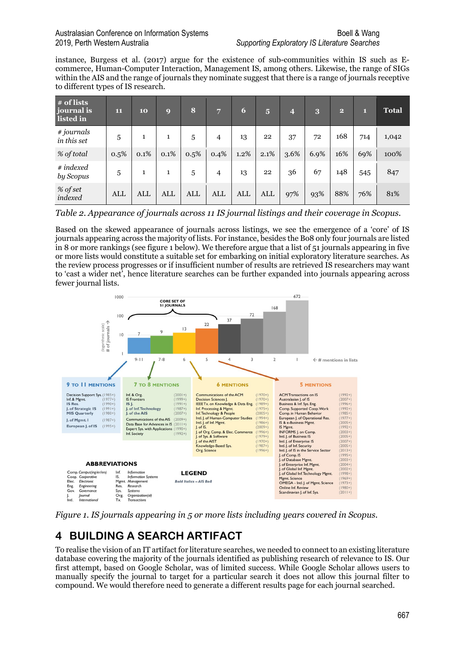### Australasian Conference on Information Systems Boell & Wang Boell & Wang 2019, Perth Western Australia *Supporting Exploratory IS Literature Searches*

instance, Burgess et al. (2017) argue for the existence of sub-communities within IS such as Ecommerce, Human-Computer Interaction, Management IS, among others. Likewise, the range of SIGs within the AIS and the range of journals they nominate suggest that there is a range of journals receptive to different types of IS research.

| # of lists<br><i>journal is</i><br>listed in | 11   | 10   | $\boldsymbol{Q}$ | 8    | 7              | 6    | $\overline{5}$ | $\overline{4}$ | 3    | 2   | П   | <b>Total</b> |
|----------------------------------------------|------|------|------------------|------|----------------|------|----------------|----------------|------|-----|-----|--------------|
| # journals<br>in this set                    | 5    | 1    |                  | 5    | 4              | 13   | 22             | 37             | 72   | 168 | 714 | 1,042        |
| % of total                                   | 0.5% | 0.1% | 0.1%             | 0.5% | 0.4%           | 1.2% | 2.1%           | 3.6%           | 6.9% | 16% | 69% | 100%         |
| $#$ indexed<br>by Scopus                     | 5    | 1    | 1                | 5    | $\overline{4}$ | 13   | 22             | 36             | 67   | 148 | 545 | 847          |
| % of set<br>indexed                          | ALL  | ALL  | ALL              | ALL  | <b>ALL</b>     | ALL  | ALL            | 97%            | 93%  | 88% | 76% | 81%          |

*Table 2. Appearance of journals across 11 IS journal listings and their coverage in Scopus.*

Based on the skewed appearance of journals across listings, we see the emergence of a 'core' of IS journals appearing across the majority of lists. For instance, besides the Bo8 only four journals are listed in 8 or more rankings (see figure 1 below). We therefore argue that a list of 51 journals appearing in five or more lists would constitute a suitable set for embarking on initial exploratory literature searches. As the review process progresses or if insufficient number of results are retrieved IS researchers may want to 'cast a wider net', hence literature searches can be further expanded into journals appearing across fewer journal lists.



*Figure 1. IS journals appearing in 5 or more lists including years covered in Scopus.*

# **4 BUILDING A SEARCH ARTIFACT**

To realise the vision of an IT artifact for literature searches, we needed to connect to an existing literature database covering the majority of the journals identified as publishing research of relevance to IS. Our first attempt, based on Google Scholar, was of limited success. While Google Scholar allows users to manually specify the journal to target for a particular search it does not allow this journal filter to compound. We would therefore need to generate a different results page for each journal searched.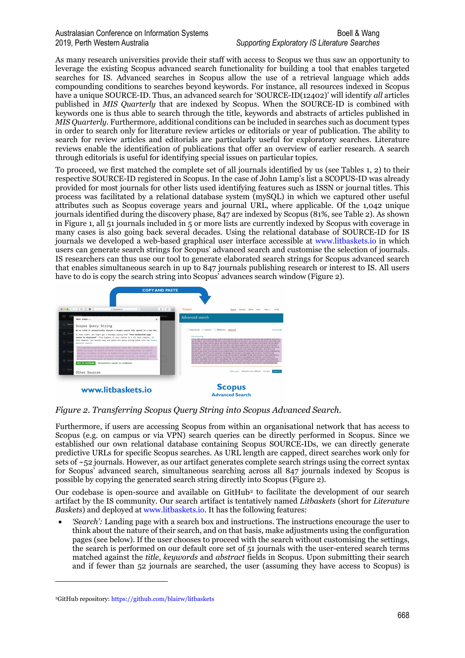### Australasian Conference on Information Systems Boell 2 Wang 2019, Perth Western Australia *Supporting Exploratory IS Literature Searches*

As many research universities provide their staff with access to Scopus we thus saw an opportunity to leverage the existing Scopus advanced search functionality for building a tool that enables targeted searches for IS. Advanced searches in Scopus allow the use of a retrieval language which adds compounding conditions to searches beyond keywords. For instance, all resources indexed in Scopus have a unique SOURCE-ID. Thus, an advanced search for 'SOURCE-ID(12402)' will identify *all* articles published in *MIS Quarterly* that are indexed by Scopus. When the SOURCE-ID is combined with keywords one is thus able to search through the title, keywords and abstracts of articles published in *MIS Quarterly*. Furthermore, additional conditions can be included in searches such as document types in order to search only for literature review articles or editorials or year of publication. The ability to search for review articles and editorials are particularly useful for exploratory searches. Literature reviews enable the identification of publications that offer an overview of earlier research. A search through editorials is useful for identifying special issues on particular topics.

To proceed, we first matched the complete set of all journals identified by us (see Tables 1, 2) to their respective SOURCE-ID registered in Scopus. In the case of John Lamp's list a SCOPUS-ID was already provided for most journals for other lists used identifying features such as ISSN or journal titles. This process was facilitated by a relational database system (mySQL) in which we captured other useful attributes such as Scopus coverage years and journal URL, where applicable. Of the 1,042 unique journals identified during the discovery phase, 847 are indexed by Scopus (81%, see Table 2). As shown in Figure 1, all 51 journals included in 5 or more lists are currently indexed by Scopus with coverage in many cases is also going back several decades. Using the relational database of SOURCE-ID for IS journals we developed a web-based graphical user interface accessible at [www.litbaskets.io](http://www.litbaskets.io/) in which users can generate search strings for Scopus' advanced search and customise the selection of journals. IS researchers can thus use our tool to generate elaborated search strings for Scopus advanced search that enables simultaneous search in up to 847 journals publishing research or interest to IS. All users have to do is copy the search string into Scopus' advances search window (Figure 2).



*Figure 2. Transferring Scopus Query String into Scopus Advanced Search.*

Furthermore, if users are accessing Scopus from within an organisational network that has access to Scopus (e.g. on campus or via VPN) search queries can be directly performed in Scopus. Since we established our own relational database containing Scopus SOURCE-IDs, we can directly generate predictive URLs for specific Scopus searches. As URL length are capped, direct searches work only for sets of ~52 journals. However, as our artifact generates complete search strings using the correct syntax for Scopus' advanced search, simultaneous searching across all 847 journals indexed by Scopus is possible by copying the generated search string directly into Scopus (Figure 2).

Our codebase is open-source and available on GitHub[2](#page-5-0) to facilitate the development of our search artifact by the IS community. Our search artifact is tentatively named *Litbaskets* (short for *Literature Baskets*) and deployed at [www.litbaskets.io.](http://www.litbaskets.io/) It has the following features:

• *'Search':* Landing page with a search box and instructions. The instructions encourage the user to think about the nature of their search, and on that basis, make adjustments using the configuration pages (see below). If the user chooses to proceed with the search without customising the settings, the search is performed on our default core set of 51 journals with the user-entered search terms matched against the *title*, *keywords* and *abstract* fields in Scopus. Upon submitting their search and if fewer than 52 journals are searched, the user (assuming they have access to Scopus) is

-

<span id="page-5-0"></span><sup>2</sup>GitHub repository[: https://github.com/blairw/litbaskets](https://github.com/blairw/litbaskets)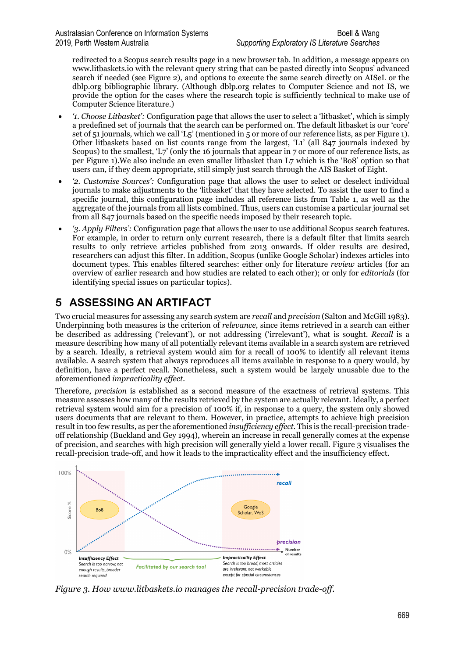redirected to a Scopus search results page in a new browser tab. In addition, a message appears on www.litbaskets.io with the relevant query string that can be pasted directly into Scopus' advanced search if needed (see Figure 2), and options to execute the same search directly on AISeL or the dblp.org bibliographic library. (Although dblp.org relates to Computer Science and not IS, we provide the option for the cases where the research topic is sufficiently technical to make use of Computer Science literature.)

- *'1. Choose Litbasket':* Configuration page that allows the user to select a 'litbasket', which is simply a predefined set of journals that the search can be performed on. The default litbasket is our 'core' set of 51 journals, which we call 'L5' (mentioned in 5 or more of our reference lists, as per Figure 1). Other litbaskets based on list counts range from the largest, 'L1' (all 847 journals indexed by Scopus) to the smallest, 'L7' (only the 16 journals that appear in 7 or more of our reference lists, as per Figure 1).We also include an even smaller litbasket than L7 which is the 'Bo8' option so that users can, if they deem appropriate, still simply just search through the AIS Basket of Eight.
- *'2. Customise Sources':* Configuration page that allows the user to select or deselect individual journals to make adjustments to the 'litbasket' that they have selected. To assist the user to find a specific journal, this configuration page includes all reference lists from Table 1, as well as the aggregate of the journals from all lists combined. Thus, users can customise a particular journal set from all 847 journals based on the specific needs imposed by their research topic.
- *'3. Apply Filters':* Configuration page that allows the user to use additional Scopus search features. For example, in order to return only current research, there is a default filter that limits search results to only retrieve articles published from 2013 onwards. If older results are desired, researchers can adjust this filter. In addition, Scopus (unlike Google Scholar) indexes articles into document types. This enables filtered searches: either only for literature *review* articles (for an overview of earlier research and how studies are related to each other); or only for *editorials* (for identifying special issues on particular topics).

# **5 ASSESSING AN ARTIFACT**

Two crucial measures for assessing any search system are *recall* and *precision* (Salton and McGill 1983). Underpinning both measures is the criterion of *relevance*, since items retrieved in a search can either be described as addressing ('relevant'), or not addressing ('irrelevant'), what is sought. *Recall* is a measure describing how many of all potentially relevant items available in a search system are retrieved by a search. Ideally, a retrieval system would aim for a recall of 100% to identify all relevant items available. A search system that always reproduces all items available in response to a query would, by definition, have a perfect recall. Nonetheless, such a system would be largely unusable due to the aforementioned *impracticality effect*.

Therefore, *precision* is established as a second measure of the exactness of retrieval systems. This measure assesses how many of the results retrieved by the system are actually relevant. Ideally, a perfect retrieval system would aim for a precision of 100% if, in response to a query, the system only showed users documents that are relevant to them. However, in practice, attempts to achieve high precision result in too few results, as per the aforementioned *insufficiency effect*. This is the recall-precision tradeoff relationship (Buckland and Gey 1994), wherein an increase in recall generally comes at the expense of precision, and searches with high precision will generally yield a lower recall. Figure 3 visualises the recall-precision trade-off, and how it leads to the impracticality effect and the insufficiency effect.



*Figure 3. How www.litbaskets.io manages the recall-precision trade-off.*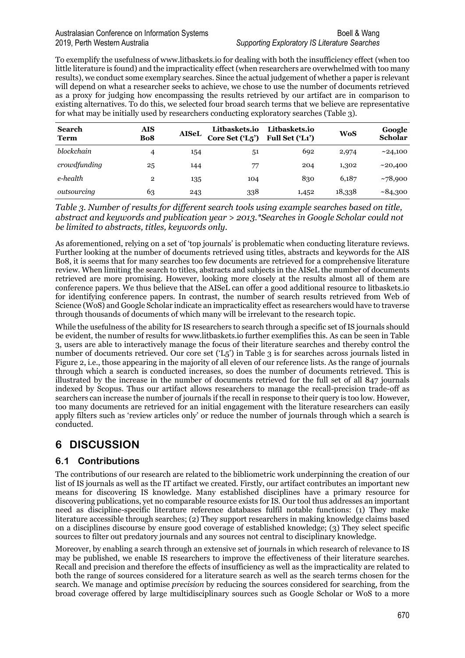### Australasian Conference on Information Systems Boell & Wang Boell & Wang 2019, Perth Western Australia *Supporting Exploratory IS Literature Searches*

To exemplify the usefulness of www.litbaskets.io for dealing with both the insufficiency effect (when too little literature is found) and the impracticality effect (when researchers are overwhelmed with too many results), we conduct some exemplary searches. Since the actual judgement of whether a paper is relevant will depend on what a researcher seeks to achieve, we chose to use the number of documents retrieved as a proxy for judging how encompassing the results retrieved by our artifact are in comparison to existing alternatives. To do this, we selected four broad search terms that we believe are representative for what may be initially used by researchers conducting exploratory searches (Table 3).

| <b>Search</b><br><b>Term</b> | AIS<br>Bo <sub>8</sub> | <b>AISeL</b> | <b>Litbaskets.io</b><br>Core Set ('L5') | Litbaskets.io<br>Full Set ('L1') | <b>WoS</b> | Google<br>Scholar |
|------------------------------|------------------------|--------------|-----------------------------------------|----------------------------------|------------|-------------------|
| blockchain                   | 4                      | 154          | 51                                      | 692                              | 2,974      | ~24,100           |
| crowdfunding                 | 25                     | 144          | 77                                      | 204                              | 1,302      | ~10,400           |
| e-health                     | 2                      | 135          | 104                                     | 830                              | 6,187      | ~178,900          |
| outsourcing                  | 63                     | 243          | 338                                     | 1,452                            | 18,338     | ~84,300           |

*Table 3. Number of results for different search tools using example searches based on title, abstract and keywords and publication year > 2013.\*Searches in Google Scholar could not be limited to abstracts, titles, keywords only.*

As aforementioned, relying on a set of 'top journals' is problematic when conducting literature reviews. Further looking at the number of documents retrieved using titles, abstracts and keywords for the AIS Bo8, it is seems that for many searches too few documents are retrieved for a comprehensive literature review. When limiting the search to titles, abstracts and subjects in the AISeL the number of documents retrieved are more promising. However, looking more closely at the results almost all of them are conference papers. We thus believe that the AISeL can offer a good additional resource to litbaskets.io for identifying conference papers. In contrast, the number of search results retrieved from Web of Science (WoS) and Google Scholar indicate an impracticality effect as researchers would have to traverse through thousands of documents of which many will be irrelevant to the research topic.

While the usefulness of the ability for IS researchers to search through a specific set of IS journals should be evident, the number of results for www.litbaskets.io further exemplifies this. As can be seen in Table 3, users are able to interactively manage the focus of their literature searches and thereby control the number of documents retrieved. Our core set ('L5') in Table 3 is for searches across journals listed in Figure 2, i.e., those appearing in the majority of all eleven of our reference lists. As the range of journals through which a search is conducted increases, so does the number of documents retrieved. This is illustrated by the increase in the number of documents retrieved for the full set of all 847 journals indexed by Scopus. Thus our artifact allows researchers to manage the recall-precision trade-off as searchers can increase the number of journals if the recall in response to their query is too low. However, too many documents are retrieved for an initial engagement with the literature researchers can easily apply filters such as 'review articles only' or reduce the number of journals through which a search is conducted.

## **6 DISCUSSION**

## **6.1 Contributions**

The contributions of our research are related to the bibliometric work underpinning the creation of our list of IS journals as well as the IT artifact we created. Firstly, our artifact contributes an important new means for discovering IS knowledge. Many established disciplines have a primary resource for discovering publications, yet no comparable resource exists for IS. Our tool thus addresses an important need as discipline-specific literature reference databases fulfil notable functions: (1) They make literature accessible through searches; (2) They support researchers in making knowledge claims based on a disciplines discourse by ensure good coverage of established knowledge; (3) They select specific sources to filter out predatory journals and any sources not central to disciplinary knowledge.

Moreover, by enabling a search through an extensive set of journals in which research of relevance to IS may be published, we enable IS researchers to improve the effectiveness of their literature searches. Recall and precision and therefore the effects of insufficiency as well as the impracticality are related to both the range of sources considered for a literature search as well as the search terms chosen for the search. We manage and optimise *precision* by reducing the sources considered for searching, from the broad coverage offered by large multidisciplinary sources such as Google Scholar or WoS to a more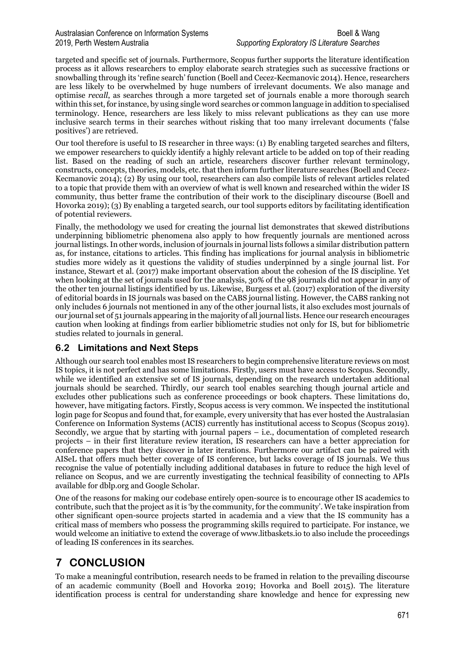targeted and specific set of journals. Furthermore, Scopus further supports the literature identification process as it allows researchers to employ elaborate search strategies such as successive fractions or snowballing through its 'refine search' function (Boell and Cecez-Kecmanovic 2014). Hence, researchers are less likely to be overwhelmed by huge numbers of irrelevant documents. We also manage and optimise *recall*, as searches through a more targeted set of journals enable a more thorough search within this set, for instance, by using single word searches or common language in addition to specialised terminology. Hence, researchers are less likely to miss relevant publications as they can use more inclusive search terms in their searches without risking that too many irrelevant documents ('false positives') are retrieved.

Our tool therefore is useful to IS researcher in three ways: (1) By enabling targeted searches and filters, we empower researchers to quickly identify a highly relevant article to be added on top of their reading list. Based on the reading of such an article, researchers discover further relevant terminology, constructs, concepts, theories, models, etc. that then inform further literature searches (Boell and Cecez-Kecmanovic 2014); (2) By using our tool, researchers can also compile lists of relevant articles related to a topic that provide them with an overview of what is well known and researched within the wider IS community, thus better frame the contribution of their work to the disciplinary discourse (Boell and Hovorka 2019); (3) By enabling a targeted search, our tool supports editors by facilitating identification of potential reviewers.

Finally, the methodology we used for creating the journal list demonstrates that skewed distributions underpinning bibliometric phenomena also apply to how frequently journals are mentioned across journal listings. In other words, inclusion of journals in journal lists follows a similar distribution pattern as, for instance, citations to articles. This finding has implications for journal analysis in bibliometric studies more widely as it questions the validity of studies underpinned by a single journal list. For instance, Stewart et al. (2017) make important observation about the cohesion of the IS discipline. Yet when looking at the set of journals used for the analysis, 30% of the 98 journals did not appear in any of the other ten journal listings identified by us. Likewise, Burgess et al. (2017) exploration of the diversity of editorial boards in IS journals was based on the CABS journal listing. However, the CABS ranking not only includes 6 journals not mentioned in any of the other journal lists, it also excludes most journals of our journal set of 51 journals appearing in the majority of all journal lists. Hence our research encourages caution when looking at findings from earlier bibliometric studies not only for IS, but for bibliometric studies related to journals in general.

## **6.2 Limitations and Next Steps**

Although our search tool enables most IS researchers to begin comprehensive literature reviews on most IS topics, it is not perfect and has some limitations. Firstly, users must have access to Scopus. Secondly, while we identified an extensive set of IS journals, depending on the research undertaken additional journals should be searched. Thirdly, our search tool enables searching though journal article and excludes other publications such as conference proceedings or book chapters. These limitations do, however, have mitigating factors. Firstly, Scopus access is very common. We inspected the institutional login page for Scopus and found that, for example, every university that has ever hosted the Australasian Conference on Information Systems (ACIS) currently has institutional access to Scopus (Scopus 2019). Secondly, we argue that by starting with journal papers  $-$  i.e., documentation of completed research projects – in their first literature review iteration, IS researchers can have a better appreciation for conference papers that they discover in later iterations. Furthermore our artifact can be paired with AISeL that offers much better coverage of IS conference, but lacks coverage of IS journals. We thus recognise the value of potentially including additional databases in future to reduce the high level of reliance on Scopus, and we are currently investigating the technical feasibility of connecting to APIs available for dblp.org and Google Scholar.

One of the reasons for making our codebase entirely open-source is to encourage other IS academics to contribute, such that the project as it is 'by the community, for the community'. We take inspiration from other significant open-source projects started in academia and a view that the IS community has a critical mass of members who possess the programming skills required to participate. For instance, we would welcome an initiative to extend the coverage of www.litbaskets.io to also include the proceedings of leading IS conferences in its searches.

## **7 CONCLUSION**

To make a meaningful contribution, research needs to be framed in relation to the prevailing discourse of an academic community (Boell and Hovorka 2019; Hovorka and Boell 2015). The literature identification process is central for understanding share knowledge and hence for expressing new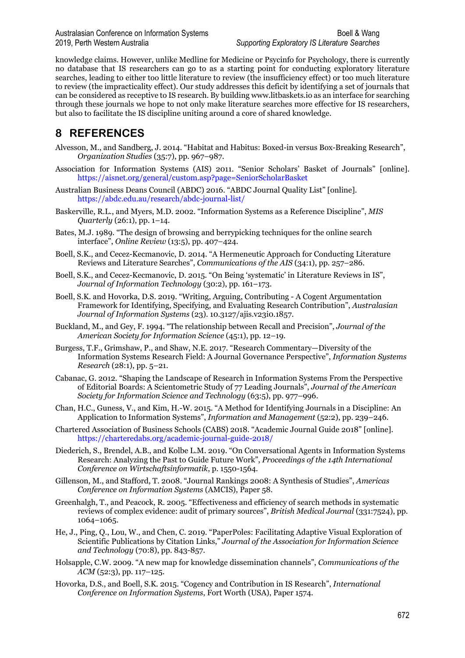Australasian Conference on Information Systems Boell & Wang Boell & Wang 2019, Perth Western Australia *Supporting Exploratory IS Literature Searches*

knowledge claims. However, unlike Medline for Medicine or Psycinfo for Psychology, there is currently no database that IS researchers can go to as a starting point for conducting exploratory literature searches, leading to either too little literature to review (the insufficiency effect) or too much literature to review (the impracticality effect). Our study addresses this deficit by identifying a set of journals that can be considered as receptive to IS research. By building www.litbaskets.io as an interface for searching through these journals we hope to not only make literature searches more effective for IS researchers, but also to facilitate the IS discipline uniting around a core of shared knowledge.

## **8 REFERENCES**

- Alvesson, M., and Sandberg, J. 2014. "Habitat and Habitus: Boxed-in versus Box-Breaking Research", *Organization Studies* (35:7), pp. 967–987.
- Association for Information Systems (AIS) 2011. "Senior Scholars' Basket of Journals" [online]. <https://aisnet.org/general/custom.asp?page=SeniorScholarBasket>
- Australian Business Deans Council (ABDC) 2016. "ABDC Journal Quality List" [online]. <https://abdc.edu.au/research/abdc-journal-list/>
- Baskerville, R.L., and Myers, M.D. 2002. "Information Systems as a Reference Discipline", *MIS Quarterly* (26:1), pp. 1–14.
- Bates, M.J. 1989. "The design of browsing and berrypicking techniques for the online search interface", *Online Review* (13:5), pp. 407–424.
- Boell, S.K., and Cecez-Kecmanovic, D. 2014. "A Hermeneutic Approach for Conducting Literature Reviews and Literature Searches", *Communications of the AIS* (34:1), pp. 257–286.
- Boell, S.K., and Cecez-Kecmanovic, D. 2015. "On Being 'systematic' in Literature Reviews in IS", *Journal of Information Technology* (30:2), pp. 161–173.
- Boell, S.K. and Hovorka, D.S. 2019. "Writing, Arguing, Contributing A Cogent Argumentation Framework for Identifying, Specifying, and Evaluating Research Contribution", *Australasian Journal of Information Systems* (23). 10.3127/ajis.v23i0.1857.
- Buckland, M., and Gey, F. 1994. "The relationship between Recall and Precision", *Journal of the American Society for Information Science* (45:1), pp. 12–19.
- Burgess, T.F., Grimshaw, P., and Shaw, N.E. 2017. "Research Commentary—Diversity of the Information Systems Research Field: A Journal Governance Perspective", *Information Systems Research* (28:1), pp. 5–21.
- Cabanac, G. 2012. "Shaping the Landscape of Research in Information Systems From the Perspective of Editorial Boards: A Scientometric Study of 77 Leading Journals", *Journal of the American Society for Information Science and Technology* (63:5), pp. 977–996.
- Chan, H.C., Guness, V., and Kim, H.-W. 2015. "A Method for Identifying Journals in a Discipline: An Application to Information Systems", *Information and Management* (52:2), pp. 239–246.
- Chartered Association of Business Schools (CABS) 2018. "Academic Journal Guide 2018" [online]. <https://charteredabs.org/academic-journal-guide-2018/>
- Diederich, S., Brendel, A.B., and Kolbe L.M. 2019. "On Conversational Agents in Information Systems Research: Analyzing the Past to Guide Future Work", *Proceedings of the 14th International Conference on Wirtschaftsinformatik*, p. 1550-1564.
- Gillenson, M., and Stafford, T. 2008. "Journal Rankings 2008: A Synthesis of Studies", *Americas Conference on Information Systems* (AMCIS), Paper 58.
- Greenhalgh, T., and Peacock, R. 2005. "Effectiveness and efficiency of search methods in systematic reviews of complex evidence: audit of primary sources", *British Medical Journal* (331:7524), pp. 1064–1065.
- He, J., Ping, Q., Lou, W., and Chen, C. 2019. "PaperPoles: Facilitating Adaptive Visual Exploration of Scientific Publications by Citation Links," *Journal of the Association for Information Science and Technology* (70:8), pp. 843-857.
- Holsapple, C.W. 2009. "A new map for knowledge dissemination channels", *Communications of the ACM* (52:3), pp. 117–125.
- Hovorka, D.S., and Boell, S.K. 2015. "Cogency and Contribution in IS Research", *International Conference on Information Systems*, Fort Worth (USA), Paper 1574.